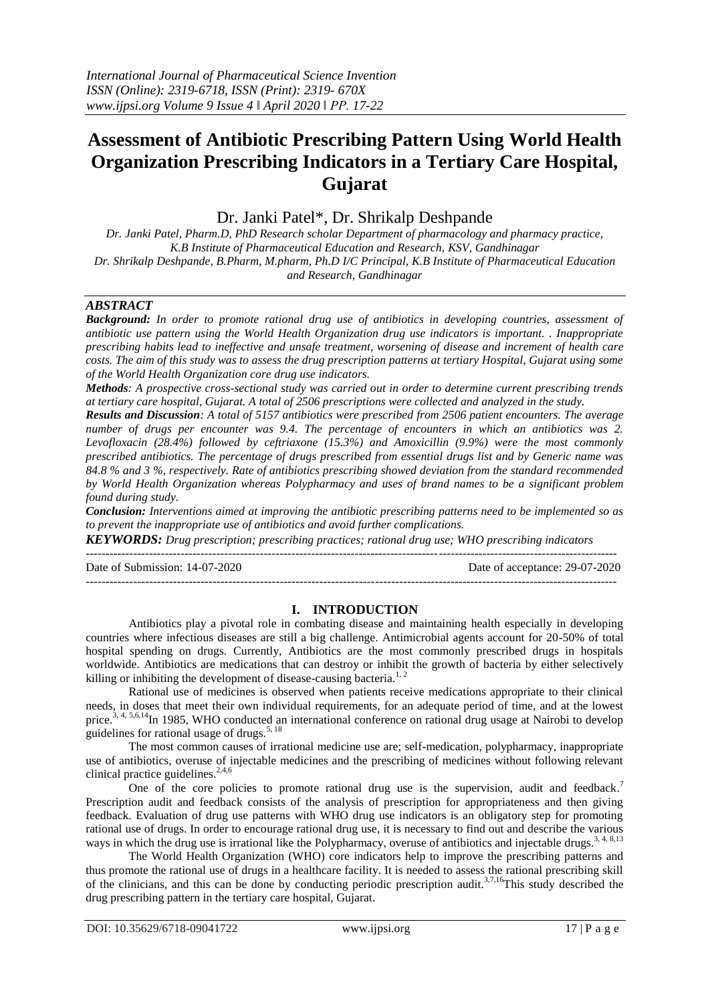# **Assessment of Antibiotic Prescribing Pattern Using World Health Organization Prescribing Indicators in a Tertiary Care Hospital, Gujarat**

Dr. Janki Patel\*, Dr. Shrikalp Deshpande

*Dr. Janki Patel, Pharm.D, PhD Research scholar Department of pharmacology and pharmacy practice, K.B Institute of Pharmaceutical Education and Research, KSV, Gandhinagar Dr. Shrikalp Deshpande, B.Pharm, M.pharm, Ph.D I/C Principal, K.B Institute of Pharmaceutical Education and Research, Gandhinagar*

### *ABSTRACT*

*Background: In order to promote rational drug use of antibiotics in developing countries, assessment of antibiotic use pattern using the World Health Organization drug use indicators is important. . Inappropriate prescribing habits lead to ineffective and unsafe treatment, worsening of disease and increment of health care costs. The aim of this study was to assess the drug prescription patterns at tertiary Hospital, Gujarat using some of the World Health Organization core drug use indicators.*

*Methods: A prospective cross-sectional study was carried out in order to determine current prescribing trends at tertiary care hospital, Gujarat. A total of 2506 prescriptions were collected and analyzed in the study.* 

*Results and Discussion: A total of 5157 antibiotics were prescribed from 2506 patient encounters. The average number of drugs per encounter was 9.4. The percentage of encounters in which an antibiotics was 2. Levofloxacin (28.4%) followed by ceftriaxone (15.3%) and Amoxicillin (9.9%) were the most commonly prescribed antibiotics. The percentage of drugs prescribed from essential drugs list and by Generic name was 84.8 % and 3 %, respectively. Rate of antibiotics prescribing showed deviation from the standard recommended by World Health Organization whereas Polypharmacy and uses of brand names to be a significant problem found during study.*

*Conclusion: Interventions aimed at improving the antibiotic prescribing patterns need to be implemented so as to prevent the inappropriate use of antibiotics and avoid further complications.*

*KEYWORDS: Drug prescription; prescribing practices; rational drug use; WHO prescribing indicators*

 $-1.1$ 

Date of Submission: 14-07-2020 Date of acceptance: 29-07-2020 --------------------------------------------------------------------------------------------------------------------------------------

### **I. INTRODUCTION**

Antibiotics play a pivotal role in combating disease and maintaining health especially in developing countries where infectious diseases are still a big challenge. Antimicrobial agents account for 20-50% of total hospital spending on drugs. Currently, Antibiotics are the most commonly prescribed drugs in hospitals worldwide. Antibiotics are medications that can destroy or inhibit the growth of bacteria by either selectively killing or inhibiting the development of disease-causing bacteria.<sup>1, 2</sup>

Rational use of medicines is observed when patients receive medications appropriate to their clinical needs, in doses that meet their own individual requirements, for an adequate period of time, and at the lowest price.<sup>3, 4, 5,6,14</sup>In 1985, WHO conducted an international conference on rational drug usage at Nairobi to develop guidelines for rational usage of drugs.<sup>5, 18</sup>

The most common causes of irrational medicine use are; self-medication, polypharmacy, inappropriate use of antibiotics, overuse of injectable medicines and the prescribing of medicines without following relevant clinical practice guidelines. 2,4,6

One of the core policies to promote rational drug use is the supervision, audit and feedback.<sup>7</sup> Prescription audit and feedback consists of the analysis of prescription for appropriateness and then giving feedback. Evaluation of drug use patterns with WHO drug use indicators is an obligatory step for promoting rational use of drugs. In order to encourage rational drug use, it is necessary to find out and describe the various ways in which the drug use is irrational like the Polypharmacy, overuse of antibiotics and injectable drugs.<sup>3, 4, 8,13</sup>

The World Health Organization (WHO) core indicators help to improve the prescribing patterns and thus promote the rational use of drugs in a healthcare facility. It is needed to assess the rational prescribing skill of the clinicians, and this can be done by conducting periodic prescription audit.<sup>3,7,16</sup>This study described the drug prescribing pattern in the tertiary care hospital, Gujarat.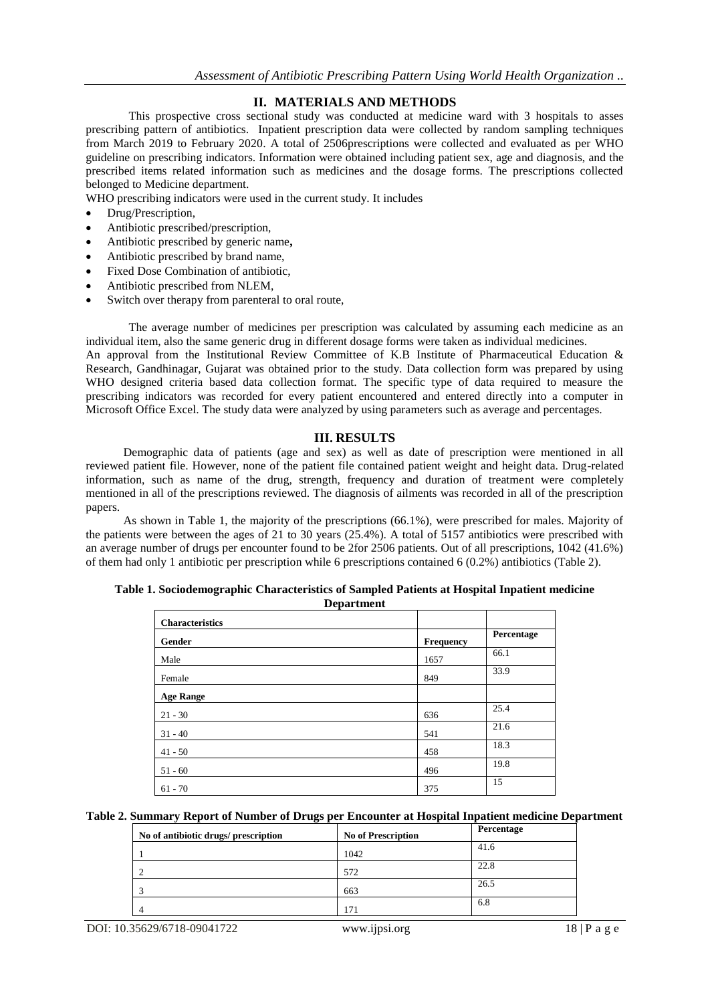# **II. MATERIALS AND METHODS**

This prospective cross sectional study was conducted at medicine ward with 3 hospitals to asses prescribing pattern of antibiotics. Inpatient prescription data were collected by random sampling techniques from March 2019 to February 2020. A total of 2506prescriptions were collected and evaluated as per WHO guideline on prescribing indicators. Information were obtained including patient sex, age and diagnosis, and the prescribed items related information such as medicines and the dosage forms. The prescriptions collected belonged to Medicine department.

WHO prescribing indicators were used in the current study. It includes

- Drug/Prescription,
- Antibiotic prescribed/prescription,
- Antibiotic prescribed by generic name**,**
- Antibiotic prescribed by brand name,
- Fixed Dose Combination of antibiotic,
- Antibiotic prescribed from NLEM,
- Switch over therapy from parenteral to oral route,

The average number of medicines per prescription was calculated by assuming each medicine as an individual item, also the same generic drug in different dosage forms were taken as individual medicines.

An approval from the Institutional Review Committee of K.B Institute of Pharmaceutical Education & Research, Gandhinagar, Gujarat was obtained prior to the study. Data collection form was prepared by using WHO designed criteria based data collection format. The specific type of data required to measure the prescribing indicators was recorded for every patient encountered and entered directly into a computer in Microsoft Office Excel. The study data were analyzed by using parameters such as average and percentages.

### **III. RESULTS**

Demographic data of patients (age and sex) as well as date of prescription were mentioned in all reviewed patient file. However, none of the patient file contained patient weight and height data. Drug-related information, such as name of the drug, strength, frequency and duration of treatment were completely mentioned in all of the prescriptions reviewed. The diagnosis of ailments was recorded in all of the prescription papers.

As shown in Table 1, the majority of the prescriptions (66.1%), were prescribed for males. Majority of the patients were between the ages of 21 to 30 years (25.4%). A total of 5157 antibiotics were prescribed with an average number of drugs per encounter found to be 2for 2506 patients. Out of all prescriptions, 1042 (41.6%) of them had only 1 antibiotic per prescription while 6 prescriptions contained 6 (0.2%) antibiotics (Table 2).

| <b>Characteristics</b> |                  |            |
|------------------------|------------------|------------|
| Gender                 | <b>Frequency</b> | Percentage |
| Male                   | 1657             | 66.1       |
| Female                 | 849              | 33.9       |
| <b>Age Range</b>       |                  |            |
| $21 - 30$              | 636              | 25.4       |
| $31 - 40$              | 541              | 21.6       |
| $41 - 50$              | 458              | 18.3       |
| $51 - 60$              | 496              | 19.8       |
| $61 - 70$              | 375              | 15         |

**Table 1. Sociodemographic Characteristics of Sampled Patients at Hospital Inpatient medicine Department**

**Table 2. Summary Report of Number of Drugs per Encounter at Hospital Inpatient medicine Department**

| No of antibiotic drugs/ prescription | <b>No of Prescription</b> | Percentage |
|--------------------------------------|---------------------------|------------|
|                                      | 1042                      | 41.6       |
|                                      | 572                       | 22.8       |
|                                      | 663                       | 26.5       |
|                                      | 171                       | 6.8        |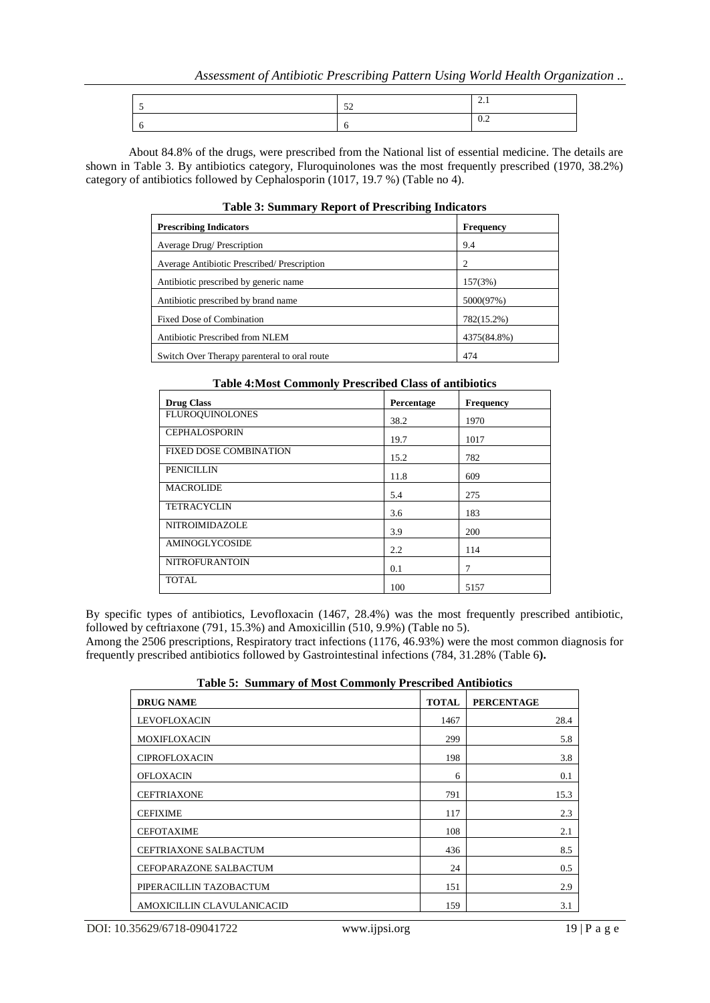|  | ◡.∠ |
|--|-----|

About 84.8% of the drugs, were prescribed from the National list of essential medicine. The details are shown in Table 3. By antibiotics category, Fluroquinolones was the most frequently prescribed (1970, 38.2%) category of antibiotics followed by Cephalosporin (1017, 19.7 %) (Table no 4).

| Tuble of Bulliman proport of Freschbing Indicators |                  |  |
|----------------------------------------------------|------------------|--|
| <b>Prescribing Indicators</b>                      | <b>Frequency</b> |  |
| Average Drug/ Prescription                         | 9.4              |  |
| Average Antibiotic Prescribed/Prescription         | $\overline{c}$   |  |
| Antibiotic prescribed by generic name.             | 157(3%)          |  |
| Antibiotic prescribed by brand name                | 5000(97%)        |  |
| <b>Fixed Dose of Combination</b>                   | 782(15.2%)       |  |
| Antibiotic Prescribed from NLEM                    | 4375(84.8%)      |  |
| Switch Over Therapy parenteral to oral route       | 474              |  |

#### **Table 3: Summary Report of Prescribing Indicators**

| Table 4:Most Commonly Prescribed Class of antibiotics |            |                  |  |
|-------------------------------------------------------|------------|------------------|--|
| <b>Drug Class</b>                                     | Percentage | <b>Frequency</b> |  |
| <b>FLUROQUINOLONES</b>                                | 38.2       | 1970             |  |
| <b>CEPHALOSPORIN</b>                                  | 19.7       | 1017             |  |
| <b>FIXED DOSE COMBINATION</b>                         | 15.2       | 782              |  |
| <b>PENICILLIN</b>                                     | 11.8       | 609              |  |
| <b>MACROLIDE</b>                                      | 5.4        | 275              |  |
| <b>TETRACYCLIN</b>                                    | 3.6        | 183              |  |
| NITROIMIDAZOLE                                        | 3.9        | 200              |  |
| AMINOGLYCOSIDE                                        | 2.2        | 114              |  |
| <b>NITROFURANTOIN</b>                                 | 0.1        | 7                |  |
| TOTAL.                                                | 100        | 5157             |  |

## **Table 4:Most Commonly Prescribed Class of antibiotics**

By specific types of antibiotics, Levofloxacin (1467, 28.4%) was the most frequently prescribed antibiotic, followed by ceftriaxone (791, 15.3%) and Amoxicillin (510, 9.9%) (Table no 5).

Among the 2506 prescriptions, Respiratory tract infections (1176, 46.93%) were the most common diagnosis for frequently prescribed antibiotics followed by Gastrointestinal infections (784, 31.28% (Table 6**).** 

| <b>DRUG NAME</b>             | <b>TOTAL</b> | <b>PERCENTAGE</b> |  |
|------------------------------|--------------|-------------------|--|
| LEVOFLOXACIN                 | 1467         | 28.4              |  |
| MOXIFLOXACIN                 | 299          | 5.8               |  |
| <b>CIPROFLOXACIN</b>         | 198          | 3.8               |  |
| <b>OFLOXACIN</b>             | 6            | 0.1               |  |
| <b>CEFTRIAXONE</b>           | 791          | 15.3              |  |
| <b>CEFIXIME</b>              | 117          | 2.3               |  |
| <b>CEFOTAXIME</b>            | 108          | 2.1               |  |
| <b>CEFTRIAXONE SALBACTUM</b> | 436          | 8.5               |  |
| CEFOPARAZONE SALBACTUM       | 24           | 0.5               |  |
| PIPERACILLIN TAZOBACTUM      | 151          | 2.9               |  |
| AMOXICILLIN CLAVULANICACID   | 159          | 3.1               |  |

**Table 5: Summary of Most Commonly Prescribed Antibiotics**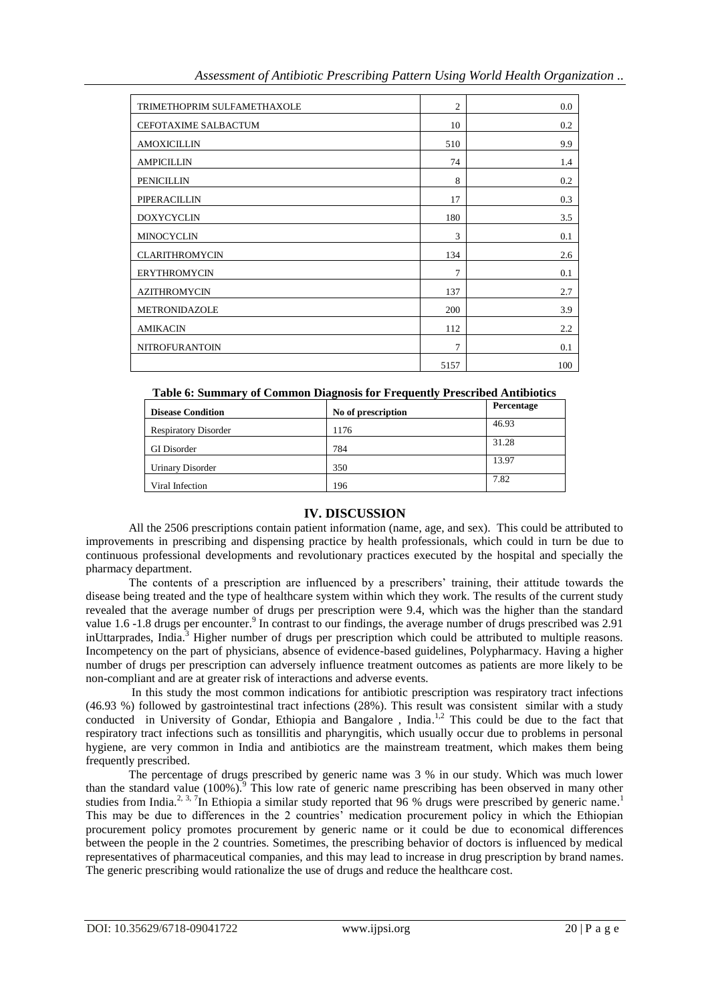| TRIMETHOPRIM SULFAMETHAXOLE | $\overline{2}$ | 0.0 |
|-----------------------------|----------------|-----|
| CEFOTAXIME SALBACTUM        | 10             | 0.2 |
| <b>AMOXICILLIN</b>          | 510            | 9.9 |
| <b>AMPICILLIN</b>           | 74             | 1.4 |
| <b>PENICILLIN</b>           | 8              | 0.2 |
| PIPERACILLIN                | 17             | 0.3 |
| <b>DOXYCYCLIN</b>           | 180            | 3.5 |
| <b>MINOCYCLIN</b>           | 3              | 0.1 |
| <b>CLARITHROMYCIN</b>       | 134            | 2.6 |
| <b>ERYTHROMYCIN</b>         | $\overline{7}$ | 0.1 |
| <b>AZITHROMYCIN</b>         | 137            | 2.7 |
| METRONIDAZOLE               | 200            | 3.9 |
| <b>AMIKACIN</b>             | 112            | 2.2 |
| <b>NITROFURANTOIN</b>       | $\overline{7}$ | 0.1 |
|                             | 5157           | 100 |

### **Table 6: Summary of Common Diagnosis for Frequently Prescribed Antibiotics**

| <b>Disease Condition</b>    | No of prescription | Percentage |
|-----------------------------|--------------------|------------|
| <b>Respiratory Disorder</b> | 1176               | 46.93      |
| <b>GI</b> Disorder          | 784                | 31.28      |
| <b>Urinary Disorder</b>     | 350                | 13.97      |
| Viral Infection             | 196                | 7.82       |

## **IV. DISCUSSION**

All the 2506 prescriptions contain patient information (name, age, and sex). This could be attributed to improvements in prescribing and dispensing practice by health professionals, which could in turn be due to continuous professional developments and revolutionary practices executed by the hospital and specially the pharmacy department.

The contents of a prescription are influenced by a prescribers' training, their attitude towards the disease being treated and the type of healthcare system within which they work. The results of the current study revealed that the average number of drugs per prescription were 9.4, which was the higher than the standard value 1.6 -1.8 drugs per encounter.<sup>9</sup> In contrast to our findings, the average number of drugs prescribed was 2.91 inUttarprades, India.<sup>3</sup> Higher number of drugs per prescription which could be attributed to multiple reasons. Incompetency on the part of physicians, absence of evidence-based guidelines, Polypharmacy. Having a higher number of drugs per prescription can adversely influence treatment outcomes as patients are more likely to be non-compliant and are at greater risk of interactions and adverse events.

In this study the most common indications for antibiotic prescription was respiratory tract infections (46.93 %) followed by gastrointestinal tract infections (28%). This result was consistent similar with a study conducted in University of Gondar, Ethiopia and Bangalore, India.<sup>1,2</sup> This could be due to the fact that respiratory tract infections such as tonsillitis and pharyngitis, which usually occur due to problems in personal hygiene, are very common in India and antibiotics are the mainstream treatment, which makes them being frequently prescribed.

The percentage of drugs prescribed by generic name was 3 % in our study. Which was much lower than the standard value  $(100\%)$ .<sup>9</sup> This low rate of generic name prescribing has been observed in many other studies from India.<sup>2, 3, 7</sup>In Ethiopia a similar study reported that 96 % drugs were prescribed by generic name.<sup>1</sup> This may be due to differences in the 2 countries' medication procurement policy in which the Ethiopian procurement policy promotes procurement by generic name or it could be due to economical differences between the people in the 2 countries. Sometimes, the prescribing behavior of doctors is influenced by medical representatives of pharmaceutical companies, and this may lead to increase in drug prescription by brand names. The generic prescribing would rationalize the use of drugs and reduce the healthcare cost.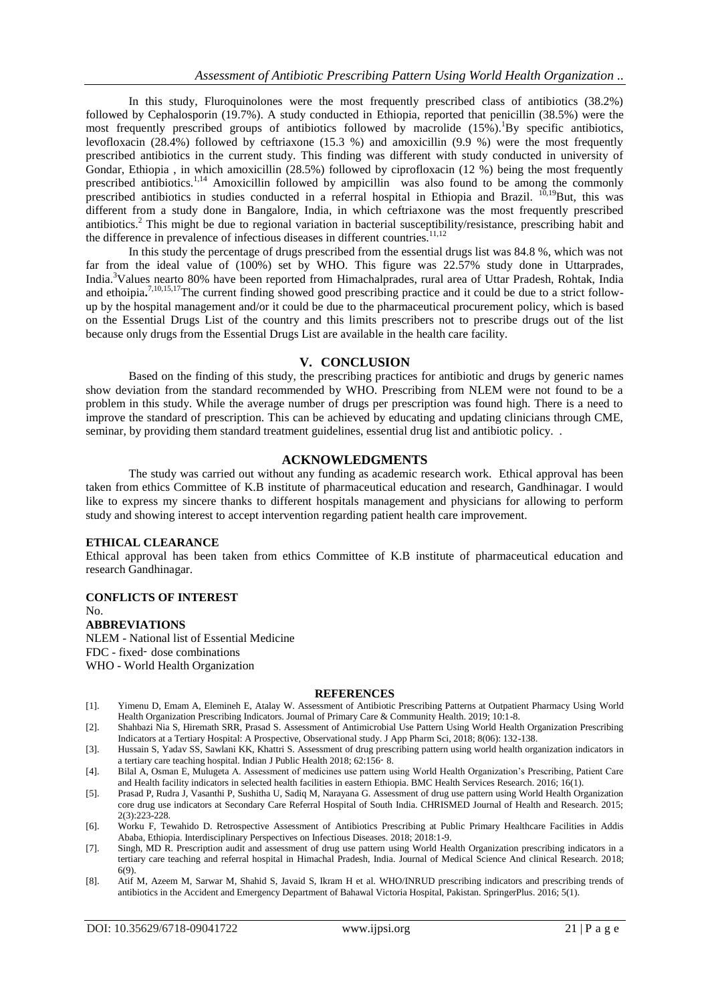In this study, Fluroquinolones were the most frequently prescribed class of antibiotics (38.2%) followed by Cephalosporin (19.7%). A study conducted in Ethiopia, reported that penicillin (38.5%) were the most frequently prescribed groups of antibiotics followed by macrolide  $(15\%)$ . By specific antibiotics, levofloxacin (28.4%) followed by ceftriaxone (15.3 %) and amoxicillin (9.9 %) were the most frequently prescribed antibiotics in the current study. This finding was different with study conducted in university of Gondar, Ethiopia , in which amoxicillin (28.5%) followed by ciprofloxacin (12 %) being the most frequently prescribed antibiotics.<sup>1,14</sup> Amoxicillin followed by ampicillin was also found to be among the commonly prescribed antibiotics in studies conducted in a referral hospital in Ethiopia and Brazil. <sup>10,19</sup>But, this was different from a study done in Bangalore, India, in which ceftriaxone was the most frequently prescribed antibiotics.<sup>2</sup> This might be due to regional variation in bacterial susceptibility/resistance, prescribing habit and the difference in prevalence of infectious diseases in different countries.<sup>11,12</sup>

In this study the percentage of drugs prescribed from the essential drugs list was 84.8 %, which was not far from the ideal value of (100%) set by WHO. This figure was 22.57% study done in Uttarprades, India.<sup>3</sup>Values nearto 80% have been reported from Himachalprades, rural area of Uttar Pradesh, Rohtak, India and ethoipia.<sup>7,10,15,17</sup>The current finding showed good prescribing practice and it could be due to a strict followup by the hospital management and/or it could be due to the pharmaceutical procurement policy, which is based on the Essential Drugs List of the country and this limits prescribers not to prescribe drugs out of the list because only drugs from the Essential Drugs List are available in the health care facility.

#### **V. CONCLUSION**

Based on the finding of this study, the prescribing practices for antibiotic and drugs by generic names show deviation from the standard recommended by WHO. Prescribing from NLEM were not found to be a problem in this study. While the average number of drugs per prescription was found high. There is a need to improve the standard of prescription. This can be achieved by educating and updating clinicians through CME, seminar, by providing them standard treatment guidelines, essential drug list and antibiotic policy. .

#### **ACKNOWLEDGMENTS**

The study was carried out without any funding as academic research work. Ethical approval has been taken from ethics Committee of K.B institute of pharmaceutical education and research, Gandhinagar. I would like to express my sincere thanks to different hospitals management and physicians for allowing to perform study and showing interest to accept intervention regarding patient health care improvement.

#### **ETHICAL CLEARANCE**

Ethical approval has been taken from ethics Committee of K.B institute of pharmaceutical education and research Gandhinagar.

# **CONFLICTS OF INTEREST**

No.

#### **ABBREVIATIONS**

NLEM - National list of Essential Medicine FDC - fixed‑ dose combinations WHO - World Health Organization

#### **REFERENCES**

- [1]. Yimenu D, Emam A, Elemineh E, Atalay W. Assessment of Antibiotic Prescribing Patterns at Outpatient Pharmacy Using World Health Organization Prescribing Indicators. Journal of Primary Care & Community Health. 2019; 10:1-8.
- [2]. Shahbazi Nia S, Hiremath SRR, Prasad S. Assessment of Antimicrobial Use Pattern Using World Health Organization Prescribing Indicators at a Tertiary Hospital: A Prospective, Observational study. J App Pharm Sci, 2018; 8(06): 132-138.
- [3]. Hussain S, Yadav SS, Sawlani KK, Khattri S. Assessment of drug prescribing pattern using world health organization indicators in a tertiary care teaching hospital. Indian J Public Health 2018; 62:156‑ 8.
- [4]. Bilal A, Osman E, Mulugeta A. Assessment of medicines use pattern using World Health Organization's Prescribing, Patient Care and Health facility indicators in selected health facilities in eastern Ethiopia. BMC Health Services Research. 2016; 16(1).
- [5]. Prasad P, Rudra J, Vasanthi P, Sushitha U, Sadiq M, Narayana G. Assessment of drug use pattern using World Health Organization core drug use indicators at Secondary Care Referral Hospital of South India. CHRISMED Journal of Health and Research. 2015; 2(3):223-228.
- [6]. Worku F, Tewahido D. Retrospective Assessment of Antibiotics Prescribing at Public Primary Healthcare Facilities in Addis Ababa, Ethiopia. Interdisciplinary Perspectives on Infectious Diseases. 2018; 2018:1-9.
- [7]. Singh, MD R. Prescription audit and assessment of drug use pattern using World Health Organization prescribing indicators in a tertiary care teaching and referral hospital in Himachal Pradesh, India. Journal of Medical Science And clinical Research. 2018; 6(9).
- [8]. Atif M, Azeem M, Sarwar M, Shahid S, Javaid S, Ikram H et al. WHO/INRUD prescribing indicators and prescribing trends of antibiotics in the Accident and Emergency Department of Bahawal Victoria Hospital, Pakistan. SpringerPlus. 2016; 5(1).